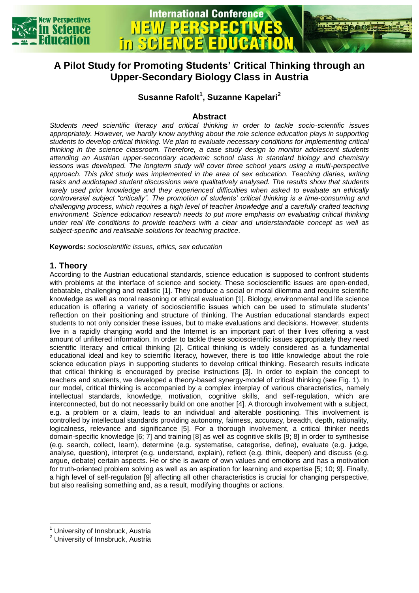



# **A Pilot Study for Promoting Students' Critical Thinking through an Upper-Secondary Biology Class in Austria**

# **Susanne Rafolt<sup>1</sup> , Suzanne Kapelari<sup>2</sup>**

# **Abstract**

*Students need scientific literacy and critical thinking in order to tackle socio-scientific issues appropriately. However, we hardly know anything about the role science education plays in supporting students to develop critical thinking. We plan to evaluate necessary conditions for implementing critical thinking in the science classroom. Therefore, a case study design to monitor adolescent students attending an Austrian upper-secondary academic school class in standard biology and chemistry lessons was developed. The longterm study will cover three school years using a multi-perspective approach. This pilot study was implemented in the area of sex education. Teaching diaries, writing tasks and audiotaped student discussions were qualitatively analysed. The results show that students rarely used prior knowledge and they experienced difficulties when asked to evaluate an ethically controversial subject "critically". The promotion of students' critical thinking is a time-consuming and challenging process, which requires a high level of teacher knowledge and a carefully crafted teaching environment. Science education research needs to put more emphasis on evaluating critical thinking under real life conditions to provide teachers with a clear and understandable concept as well as subject-specific and realisable solutions for teaching practice.*

**Keywords:** *socioscientific issues, ethics, sex education*

## **1. Theory**

According to the Austrian educational standards, science education is supposed to confront students with problems at the interface of science and society. These socioscientific issues are open-ended, debatable, challenging and realistic [1]. They produce a social or moral dilemma and require scientific knowledge as well as moral reasoning or ethical evaluation [1]. Biology, environmental and life science education is offering a variety of socioscientific issues which can be used to stimulate students' reflection on their positioning and structure of thinking. The Austrian educational standards expect students to not only consider these issues, but to make evaluations and decisions. However, students live in a rapidly changing world and the Internet is an important part of their lives offering a vast amount of unfiltered information. In order to tackle these socioscientific issues appropriately they need scientific literacy and critical thinking [2]. Critical thinking is widely considered as a fundamental educational ideal and key to scientific literacy, however, there is too little knowledge about the role science education plays in supporting students to develop critical thinking. Research results indicate that critical thinking is encouraged by precise instructions [3]. In order to explain the concept to teachers and students, we developed a theory-based synergy-model of critical thinking (see Fig. 1). In our model, critical thinking is accompanied by a complex interplay of various characteristics, namely intellectual standards, knowledge, motivation, cognitive skills, and self-regulation, which are interconnected, but do not necessarily build on one another [4]. A thorough involvement with a subject, e.g. a problem or a claim, leads to an individual and alterable positioning. This involvement is controlled by intellectual standards providing autonomy, fairness, accuracy, breadth, depth, rationality, logicalness, relevance and significance [5]. For a thorough involvement, a critical thinker needs domain-specific knowledge [6; 7] and training [8] as well as cognitive skills [9; 8] in order to synthesise (e.g. search, collect, learn), determine (e.g. systematise, categorise, define), evaluate (e.g. judge, analyse, question), interpret (e.g. understand, explain), reflect (e.g. think, deepen) and discuss (e.g. argue, debate) certain aspects. He or she is aware of own values and emotions and has a motivation for truth-oriented problem solving as well as an aspiration for learning and expertise [5; 10; 9]. Finally, a high level of self-regulation [9] affecting all other characteristics is crucial for changing perspective, but also realising something and, as a result, modifying thoughts or actions.

 $\overline{a}$ 

<sup>&</sup>lt;sup>1</sup> University of Innsbruck, Austria

<sup>&</sup>lt;sup>2</sup> University of Innsbruck, Austria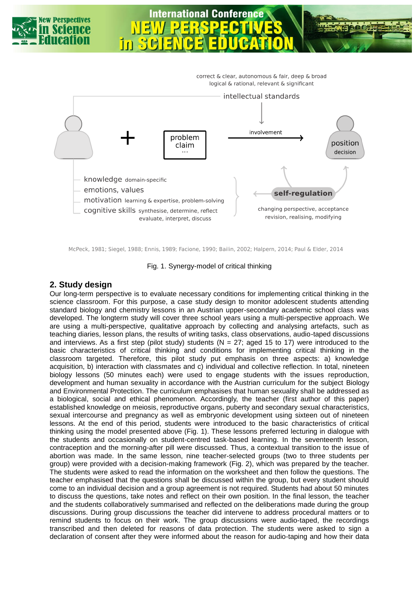

evaluate, interpret, discuss

revision, realising, modifying

McPeck, 1981; Siegel, 1988; Ennis, 1989; Facione, 1990; Bailin, 2002; Halpern, 2014; Paul & Elder, 2014

#### Fig. 1. Synergy-model of critical thinking

### **2. Study design**

Our long-term perspective is to evaluate necessary conditions for implementing critical thinking in the science classroom. For this purpose, a case study design to monitor adolescent students attending standard biology and chemistry lessons in an Austrian upper-secondary academic school class was developed. The longterm study will cover three school years using a multi-perspective approach. We are using a multi-perspective, qualitative approach by collecting and analysing artefacts, such as teaching diaries, lesson plans, the results of writing tasks, class observations, audio-taped discussions and interviews. As a first step (pilot study) students (N = 27; aged 15 to 17) were introduced to the basic characteristics of critical thinking and conditions for implementing critical thinking in the classroom targeted. Therefore, this pilot study put emphasis on three aspects: a) knowledge acquisition, b) interaction with classmates and c) individual and collective reflection. In total, nineteen biology lessons (50 minutes each) were used to engage students with the issues reproduction, development and human sexuality in accordance with the Austrian curriculum for the subject Biology and Environmental Protection. The curriculum emphasises that human sexuality shall be addressed as a biological, social and ethical phenomenon. Accordingly, the teacher (first author of this paper) established knowledge on meiosis, reproductive organs, puberty and secondary sexual characteristics, sexual intercourse and pregnancy as well as embryonic development using sixteen out of nineteen lessons. At the end of this period, students were introduced to the basic characteristics of critical thinking using the model presented above (Fig. 1). These lessons preferred lecturing in dialogue with the students and occasionally on student-centred task-based learning. In the seventeenth lesson, contraception and the morning-after pill were discussed. Thus, a contextual transition to the issue of abortion was made. In the same lesson, nine teacher-selected groups (two to three students per group) were provided with a decision-making framework (Fig. 2), which was prepared by the teacher. The students were asked to read the information on the worksheet and then follow the questions. The teacher emphasised that the questions shall be discussed within the group, but every student should come to an individual decision and a group agreement is not required. Students had about 50 minutes to discuss the questions, take notes and reflect on their own position. In the final lesson, the teacher and the students collaboratively summarised and reflected on the deliberations made during the group discussions. During group discussions the teacher did intervene to address procedural matters or to remind students to focus on their work. The group discussions were audio-taped, the recordings transcribed and then deleted for reasons of data protection. The students were asked to sign a declaration of consent after they were informed about the reason for audio-taping and how their data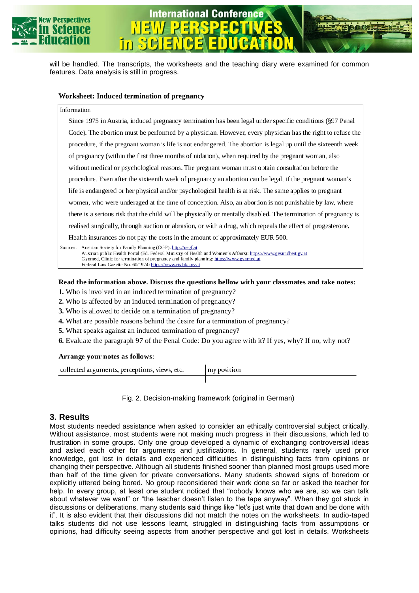

will be handled. The transcripts, the worksheets and the teaching diary were examined for common features. Data analysis is still in progress.

**International Conference** 

#### Worksheet: Induced termination of pregnancy

m

#### Information

Since 1975 in Austria, induced pregnancy termination has been legal under specific conditions (§97 Penal Code). The abortion must be performed by a physician. However, every physician has the right to refuse the procedure, if the pregnant woman's life is not endangered. The abortion is legal up until the sixteenth week of pregnancy (within the first three months of nidation), when required by the pregnant woman, also without medical or psychological reasons. The pregnant woman must obtain consultation before the procedure. Even after the sixteenth week of pregnancy an abortion can be legal, if the pregnant woman's life is endangered or her physical and/or psychological health is at risk. The same applies to pregnant women, who were underaged at the time of conception. Also, an abortion is not punishable by law, where there is a serious risk that the child will be physically or mentally disabled. The termination of pregnancy is realised surgically, through suction or abrasion, or with a drug, which repeals the effect of progesterone. Health insurances do not pay the costs in the amount of approximately EUR 500.

Sources: Austrian Society for Family Planning (ÖGF): http://oegf.at Austrian public Health Portal (Ed. Federal Ministry of Health and Women's Affairs): https://www.gesundheit.gv.at Gynmed, Clinic for termination of pregnancy and family planning: https://www.gynmed.at Federal Law Gazette No. 60/1974: https://www.ris.bka.gv.at

#### Read the information above. Discuss the questions bellow with your classmates and take notes:

1. Who is involved in an induced termination of pregnancy?

- 2. Who is affected by an induced termination of pregnancy?
- 3. Who is allowed to decide on a termination of pregnancy?
- 4. What are possible reasons behind the desire for a termination of pregnancy?
- 5. What speaks against an induced termination of pregnancy?
- 6. Evaluate the paragraph 97 of the Penal Code: Do you agree with it? If yes, why? If no, why not?

#### Arrange your notes as follows:

| collected arguments, perceptions, views, etc. | my position |
|-----------------------------------------------|-------------|
|                                               |             |

Fig. 2. Decision-making framework (original in German)

### **3. Results**

Most students needed assistance when asked to consider an ethically controversial subject critically. Without assistance, most students were not making much progress in their discussions, which led to frustration in some groups. Only one group developed a dynamic of exchanging controversial ideas and asked each other for arguments and justifications. In general, students rarely used prior knowledge, got lost in details and experienced difficulties in distinguishing facts from opinions or changing their perspective. Although all students finished sooner than planned most groups used more than half of the time given for private conversations. Many students showed signs of boredom or explicitly uttered being bored. No group reconsidered their work done so far or asked the teacher for help. In every group, at least one student noticed that "nobody knows who we are, so we can talk about whatever we want" or "the teacher doesn't listen to the tape anyway". When they got stuck in discussions or deliberations, many students said things like "let's just write that down and be done with it". It is also evident that their discussions did not match the notes on the worksheets. In audio-taped talks students did not use lessons learnt, struggled in distinguishing facts from assumptions or opinions, had difficulty seeing aspects from another perspective and got lost in details. Worksheets